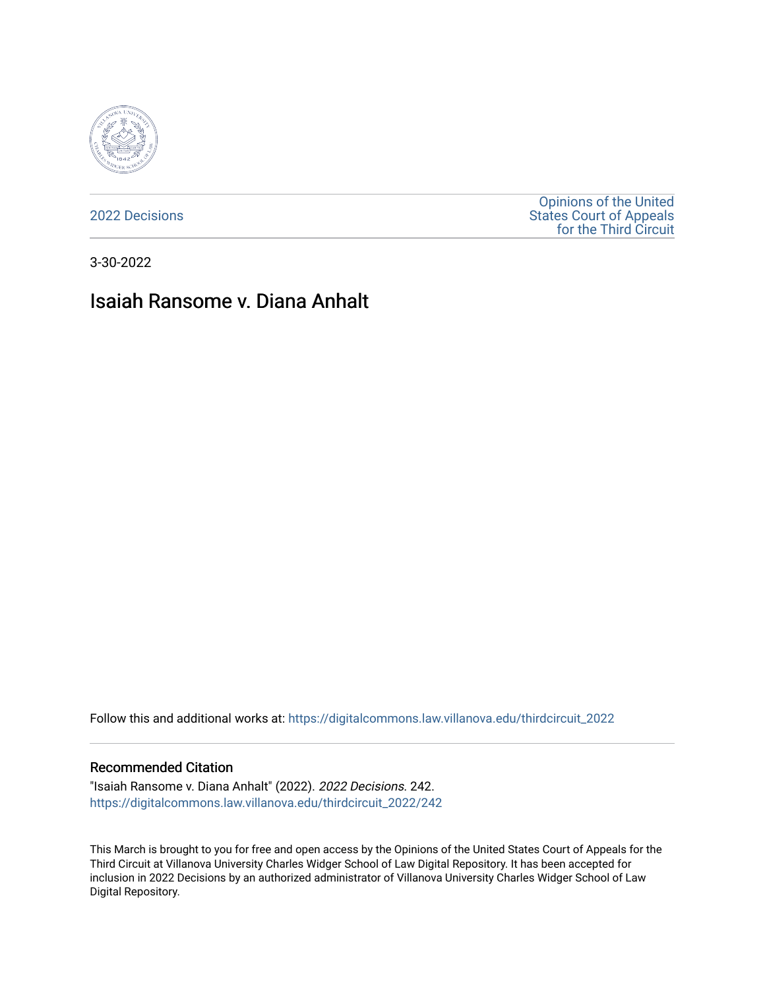

[2022 Decisions](https://digitalcommons.law.villanova.edu/thirdcircuit_2022)

[Opinions of the United](https://digitalcommons.law.villanova.edu/thirdcircuit)  [States Court of Appeals](https://digitalcommons.law.villanova.edu/thirdcircuit)  [for the Third Circuit](https://digitalcommons.law.villanova.edu/thirdcircuit) 

3-30-2022

# Isaiah Ransome v. Diana Anhalt

Follow this and additional works at: [https://digitalcommons.law.villanova.edu/thirdcircuit\\_2022](https://digitalcommons.law.villanova.edu/thirdcircuit_2022?utm_source=digitalcommons.law.villanova.edu%2Fthirdcircuit_2022%2F242&utm_medium=PDF&utm_campaign=PDFCoverPages) 

#### Recommended Citation

"Isaiah Ransome v. Diana Anhalt" (2022). 2022 Decisions. 242. [https://digitalcommons.law.villanova.edu/thirdcircuit\\_2022/242](https://digitalcommons.law.villanova.edu/thirdcircuit_2022/242?utm_source=digitalcommons.law.villanova.edu%2Fthirdcircuit_2022%2F242&utm_medium=PDF&utm_campaign=PDFCoverPages)

This March is brought to you for free and open access by the Opinions of the United States Court of Appeals for the Third Circuit at Villanova University Charles Widger School of Law Digital Repository. It has been accepted for inclusion in 2022 Decisions by an authorized administrator of Villanova University Charles Widger School of Law Digital Repository.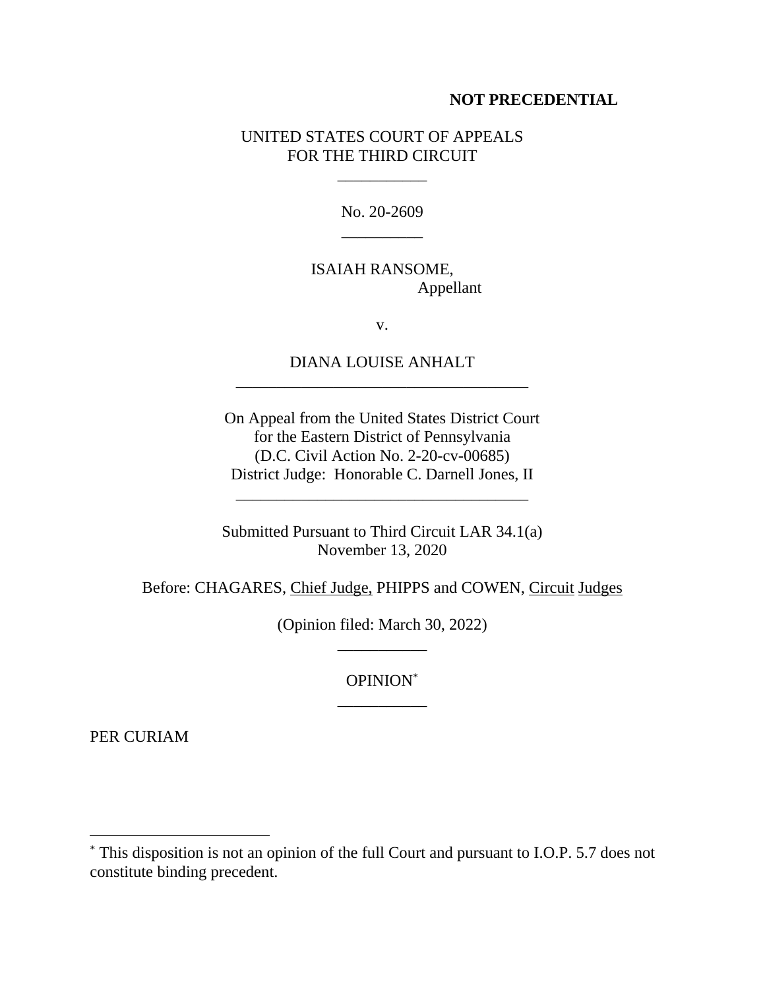#### **NOT PRECEDENTIAL**

### UNITED STATES COURT OF APPEALS FOR THE THIRD CIRCUIT

\_\_\_\_\_\_\_\_\_\_\_

No. 20-2609 \_\_\_\_\_\_\_\_\_\_

## ISAIAH RANSOME, Appellant

v.

# DIANA LOUISE ANHALT \_\_\_\_\_\_\_\_\_\_\_\_\_\_\_\_\_\_\_\_\_\_\_\_\_\_\_\_\_\_\_\_\_\_\_\_

On Appeal from the United States District Court for the Eastern District of Pennsylvania (D.C. Civil Action No. 2-20-cv-00685) District Judge: Honorable C. Darnell Jones, II

Submitted Pursuant to Third Circuit LAR 34.1(a) November 13, 2020

\_\_\_\_\_\_\_\_\_\_\_\_\_\_\_\_\_\_\_\_\_\_\_\_\_\_\_\_\_\_\_\_\_\_\_\_

Before: CHAGARES, Chief Judge, PHIPPS and COWEN, Circuit Judges

(Opinion filed: March 30, 2022) \_\_\_\_\_\_\_\_\_\_\_

> OPINION\* \_\_\_\_\_\_\_\_\_\_\_

PER CURIAM

<sup>\*</sup> This disposition is not an opinion of the full Court and pursuant to I.O.P. 5.7 does not constitute binding precedent.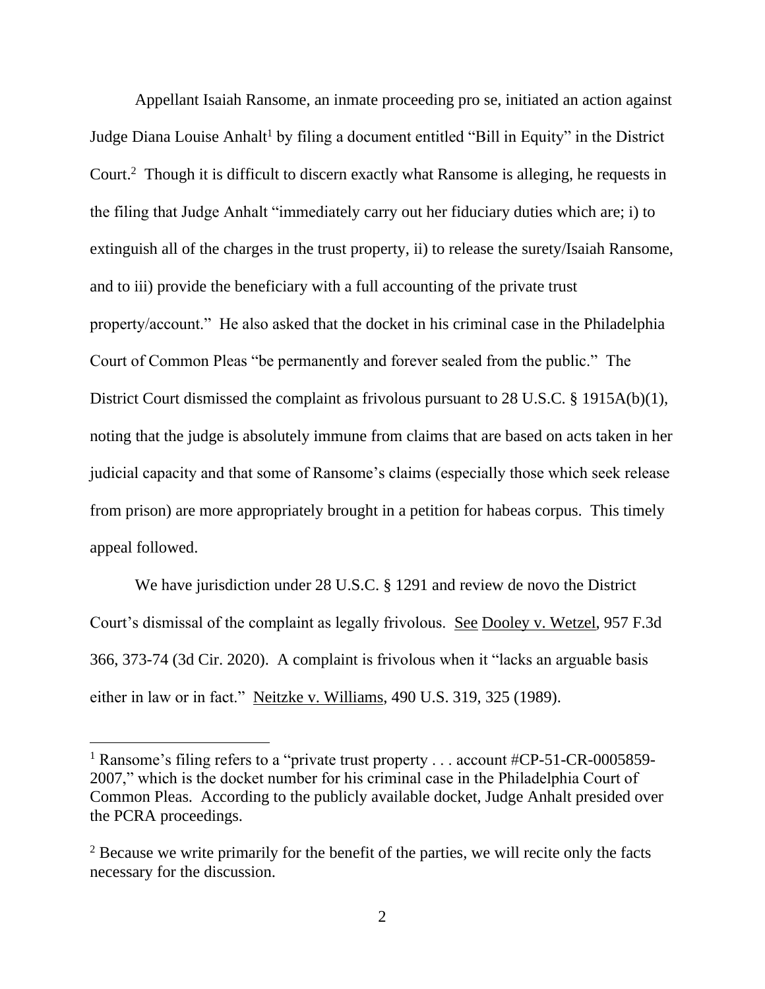Appellant Isaiah Ransome, an inmate proceeding pro se, initiated an action against Judge Diana Louise Anhalt<sup>1</sup> by filing a document entitled "Bill in Equity" in the District Court.<sup>2</sup> Though it is difficult to discern exactly what Ransome is alleging, he requests in the filing that Judge Anhalt "immediately carry out her fiduciary duties which are; i) to extinguish all of the charges in the trust property, ii) to release the surety/Isaiah Ransome, and to iii) provide the beneficiary with a full accounting of the private trust property/account." He also asked that the docket in his criminal case in the Philadelphia Court of Common Pleas "be permanently and forever sealed from the public." The District Court dismissed the complaint as frivolous pursuant to 28 U.S.C. § 1915A(b)(1), noting that the judge is absolutely immune from claims that are based on acts taken in her judicial capacity and that some of Ransome's claims (especially those which seek release from prison) are more appropriately brought in a petition for habeas corpus. This timely appeal followed.

We have jurisdiction under 28 U.S.C. § 1291 and review de novo the District Court's dismissal of the complaint as legally frivolous. See Dooley v. Wetzel, 957 F.3d 366, 373-74 (3d Cir. 2020). A complaint is frivolous when it "lacks an arguable basis either in law or in fact." Neitzke v. Williams, 490 U.S. 319, 325 (1989).

<sup>&</sup>lt;sup>1</sup> Ransome's filing refers to a "private trust property ... account  $\#CP-51-CR-0005859-$ 2007," which is the docket number for his criminal case in the Philadelphia Court of Common Pleas. According to the publicly available docket, Judge Anhalt presided over the PCRA proceedings.

 $2$  Because we write primarily for the benefit of the parties, we will recite only the facts necessary for the discussion.